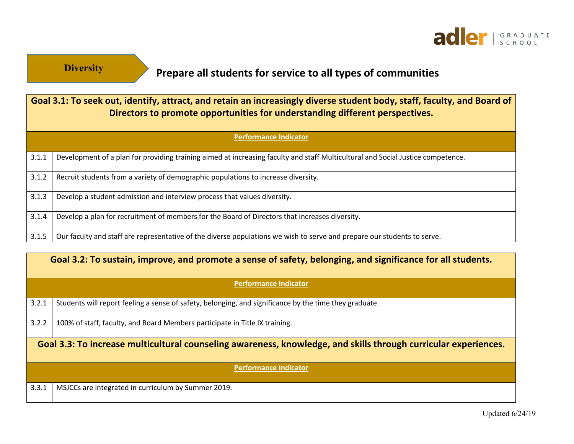

## **Prepare all students for service to all types of communities**

| Goal 3.1: To seek out, identify, attract, and retain an increasingly diverse student body, staff, faculty, and Board of<br>Directors to promote opportunities for understanding different perspectives. |                                                                                                                                 |  |
|---------------------------------------------------------------------------------------------------------------------------------------------------------------------------------------------------------|---------------------------------------------------------------------------------------------------------------------------------|--|
| <b>Performance Indicator</b>                                                                                                                                                                            |                                                                                                                                 |  |
| 3.1.1                                                                                                                                                                                                   | Development of a plan for providing training aimed at increasing faculty and staff Multicultural and Social Justice competence. |  |
| 3.1.2                                                                                                                                                                                                   | Recruit students from a variety of demographic populations to increase diversity.                                               |  |
| 3.1.3                                                                                                                                                                                                   | Develop a student admission and interview process that values diversity.                                                        |  |
| 3.1.4                                                                                                                                                                                                   | Develop a plan for recruitment of members for the Board of Directors that increases diversity.                                  |  |
| 3.1.5                                                                                                                                                                                                   | Our faculty and staff are representative of the diverse populations we wish to serve and prepare our students to serve.         |  |

|                                                                                                                 | Goal 3.2: To sustain, improve, and promote a sense of safety, belonging, and significance for all students. |  |
|-----------------------------------------------------------------------------------------------------------------|-------------------------------------------------------------------------------------------------------------|--|
| <b>Performance Indicator</b>                                                                                    |                                                                                                             |  |
| 3.2.1                                                                                                           | Students will report feeling a sense of safety, belonging, and significance by the time they graduate.      |  |
| 3.2.2                                                                                                           | 100% of staff, faculty, and Board Members participate in Title IX training.                                 |  |
| Goal 3.3: To increase multicultural counseling awareness, knowledge, and skills through curricular experiences. |                                                                                                             |  |
| <b>Performance Indicator</b>                                                                                    |                                                                                                             |  |
| 3.3.1                                                                                                           | MSJCCs are integrated in curriculum by Summer 2019.                                                         |  |